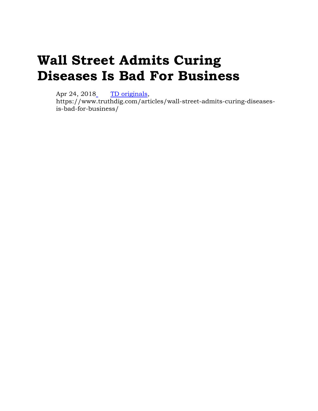# **Wall Street Admits Curing Diseases Is Bad For Business**

Apr 24, 2018 [TD originals,](https://www.truthdig.com/articles/wall-street-admits-curing-diseases-is-bad-for-business/)

https://www.truthdig.com/articles/wall-street-admits-curing-diseasesis-bad-for-business/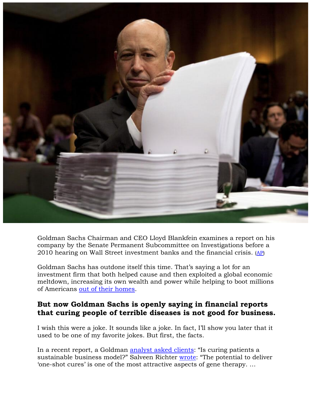

Goldman Sachs Chairman and CEO Lloyd Blankfein examines a report on his company by the Senate Permanent Subcommittee on Investigations before a 2010 hearing on Wall Street investment banks and the financial crisis. [\(AP\)](http://www.apimages.com/metadata/Index/Goldman-Sachs-Investigation/43ae98ab81af4918878088618bbfa55a/112/0)

Goldman Sachs has outdone itself this time. That's saying a lot for an investment firm that both helped cause and then exploited a global economic meltdown, increasing its own wealth and power while helping to boot millions of Americans [out of their homes.](https://www.globalresearch.ca/how-many-people-have-lost-their-homes-us-home-foreclosures-are-comparable-to-the-great-depression/5335430)

#### **But now Goldman Sachs is openly saying in financial reports that curing people of terrible diseases is not good for business.**

I wish this were a joke. It sounds like a joke. In fact, I'll show you later that it used to be one of my favorite jokes. But first, the facts.

In a recent report, a Goldman [analyst asked clients](https://www.cnbc.com/2018/04/11/goldman-asks-is-curing-patients-a-sustainable-business-model.html): "Is curing patients a sustainable business model?" Salveen Richter [wrote](https://arstechnica.com/tech-policy/2018/04/curing-disease-not-a-sustainable-business-model-goldman-sachs-analysts-say/): "The potential to deliver 'one-shot cures' is one of the most attractive aspects of gene therapy. …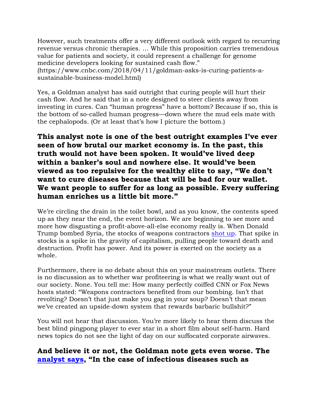However, such treatments offer a very different outlook with regard to recurring revenue versus chronic therapies. … While this proposition carries tremendous value for patients and society, it could represent a challenge for genome medicine developers looking for sustained cash flow."

(https://www.cnbc.com/2018/04/11/goldman-asks-is-curing-patients-asustainable-business-model.html)

Yes, a Goldman analyst has said outright that curing people will hurt their cash flow. And he said that in a note designed to steer clients away from investing in cures. Can "human progress" have a bottom? Because if so, this is the bottom of so-called human progress—down where the mud eels mate with the cephalopods. (Or at least that's how I picture the bottom.)

## **This analyst note is one of the best outright examples I've ever seen of how brutal our market economy is. In the past, this truth would not have been spoken. It would've lived deep within a banker's soul and nowhere else. It would've been viewed as too repulsive for the wealthy elite to say, "We don't want to cure diseases because that will be bad for our wallet. We want people to suffer for as long as possible. Every suffering human enriches us a little bit more."**

We're circling the drain in the toilet bowl, and as you know, the contents speed up as they near the end, the event horizon. We are beginning to see more and more how disgusting a profit-above-all-else economy really is. When Donald Trump bombed Syria, the stocks of weapons contractors [shot up.](https://www.peoplesworld.org/article/syria-airstrikes-added-10-billion-to-missile-manufacturer-stock-values/) That spike in stocks is a spike in the gravity of capitalism, pulling people toward death and destruction. Profit has power. And its power is exerted on the society as a whole.

Furthermore, there is no debate about this on your mainstream outlets. There is no discussion as to whether war profiteering is what we really want out of our society. None. You tell me: How many perfectly coiffed CNN or Fox News hosts stated: "Weapons contractors benefited from our bombing. Isn't that revolting? Doesn't that just make you gag in your soup? Doesn't that mean we've created an upside-down system that rewards barbaric bullshit?"

You will not hear that discussion. You're more likely to hear them discuss the best blind pingpong player to ever star in a short film about self-harm. Hard news topics do not see the light of day on our suffocated corporate airwaves.

#### **And believe it or not, the Goldman note gets even worse. The [analyst says](https://www.cnbc.com/2018/04/11/goldman-asks-is-curing-patients-a-sustainable-business-model.html), "In the case of infectious diseases such as**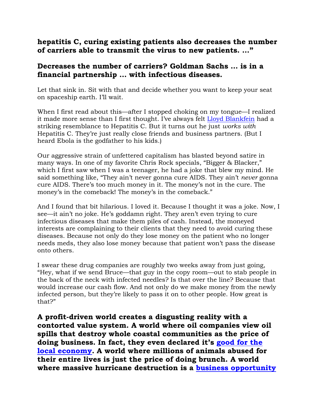#### **hepatitis C, curing existing patients also decreases the number of carriers able to transmit the virus to new patients. …"**

#### **Decreases the number of carriers? Goldman Sachs … is in a financial partnership … with infectious diseases.**

Let that sink in. Sit with that and decide whether you want to keep your seat on spaceship earth. I'll wait.

When I first read about this—after I stopped choking on my tongue—I realized it made more sense than I first thought. I've always felt [Lloyd Blankfein](https://en.wikipedia.org/wiki/Lloyd_Blankfein) had a striking resemblance to Hepatitis C. But it turns out he just *works with* Hepatitis C. They're just really close friends and business partners. (But I heard Ebola is the godfather to his kids.)

Our aggressive strain of unfettered capitalism has blasted beyond satire in many ways. In one of my favorite Chris Rock specials, "Bigger & Blacker," which I first saw when I was a teenager, he had a joke that blew my mind. He said something like, "They ain't never gonna cure AIDS. They ain't *never* gonna cure AIDS. There's too much money in it. The money's not in the cure. The money's in the comeback! The money's in the comeback."

And I found that bit hilarious. I loved it. Because I thought it was a joke. Now, I see—it ain't no joke. He's goddamn right. They aren't even trying to cure infectious diseases that make them piles of cash. Instead, the moneyed interests are complaining to their clients that they need to avoid curing these diseases. Because not only do they lose money on the patient who no longer needs meds, they also lose money because that patient won't pass the disease onto others.

I swear these drug companies are roughly two weeks away from just going, "Hey, what if we send Bruce—that guy in the copy room—out to stab people in the back of the neck with infected needles? Is that over the line? Because that would increase our cash flow. And not only do we make money from the newly infected person, but they're likely to pass it on to other people. How great is that?"

**A profit-driven world creates a disgusting reality with a contorted value system. A world where oil companies view oil spills that destroy whole coastal communities as the price of doing business. In fact, they even declared it's [good for the](http://www.newsweek.com/massive-oil-spill-welcome-boost-economy-says-bp-874650)  [local economy.](http://www.newsweek.com/massive-oil-spill-welcome-boost-economy-says-bp-874650) A world where millions of animals abused for their entire lives is just the price of doing brunch. A world where massive hurricane destruction is a [business opportunity](https://www.democracynow.org/2018/3/21/the_battle_for_paradise_naomi_klein)**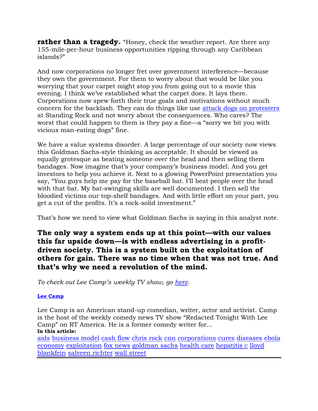**rather than a tragedy.** "Honey, check the weather report. Are there any 155-mile-per-hour business opportunities ripping through any Caribbean islands?"

And now corporations no longer fret over government interference—because they own the government. For them to worry about that would be like you worrying that your carpet might stop you from going out to a movie this evening. I think we've established what the carpet does. It lays there. Corporations now spew forth their true goals and motivations without much concern for the backlash. They can do things like use [attack dogs on protesters](https://www.democracynow.org/2016/11/24/standing_rock_special_unlicensed_dapl_guards) at Standing Rock and not worry about the consequences. Who cares? The worst that could happen to them is they pay a fine—a "sorry we bit you with vicious man-eating dogs" fine.

We have a value systems disorder. A large percentage of our society now views this Goldman Sachs-style thinking as acceptable. It should be viewed as equally grotesque as beating someone over the head and then selling them bandages. Now imagine that's your company's business model. And you get investors to help you achieve it. Next to a glowing PowerPoint presentation you say, "You guys help me pay for the baseball bat. I'll beat people over the head with that bat. My bat-swinging skills are well documented. I then sell the bloodied victims our top-shelf bandages. And with little effort on your part, you get a cut of the profits. It's a rock-solid investment."

That's how we need to view what Goldman Sachs is saying in this analyst note.

## **The only way a system ends up at this point—with our values this far upside down—is with endless advertising in a profitdriven society. This is a system built on the exploitation of others for gain. There was no time when that was not true. And that's why we need a revolution of the mind.**

*To check out Lee Camp's weekly TV show, go [here.](https://www.youtube.com/redactedtonight)* 

#### **[Lee Camp](https://www.truthdig.com/author/lee_camp/)**

Lee Camp is an American stand-up comedian, writer, actor and activist. Camp is the host of the weekly comedy news TV show "Redacted Tonight With Lee Camp" on RT America. He is a former comedy writer for… **In this article:**

[aids](https://www.truthdig.com/tag/aids) [business model](https://www.truthdig.com/tag/business-model) [cash flow](https://www.truthdig.com/tag/cash-flow) [chris rock](https://www.truthdig.com/tag/chris-rock) [cnn](https://www.truthdig.com/tag/cnn) [corporations](https://www.truthdig.com/tag/corporations) [cures](https://www.truthdig.com/tag/cures) [diseases](https://www.truthdig.com/tag/diseases) [ebola](https://www.truthdig.com/tag/ebola) [economy](https://www.truthdig.com/tag/economy) [exploitation](https://www.truthdig.com/tag/exploitation) [fox news](https://www.truthdig.com/tag/fox-news) [goldman sachs](https://www.truthdig.com/tag/goldman-sachs) [health care](https://www.truthdig.com/tag/health-care) [hepatitis c](https://www.truthdig.com/tag/hepatitis-c) [lloyd](https://www.truthdig.com/tag/lloyd-blankfein)  [blankfein](https://www.truthdig.com/tag/lloyd-blankfein) [salveen richter](https://www.truthdig.com/tag/salveen-richter) [wall street](https://www.truthdig.com/tag/wall-street)